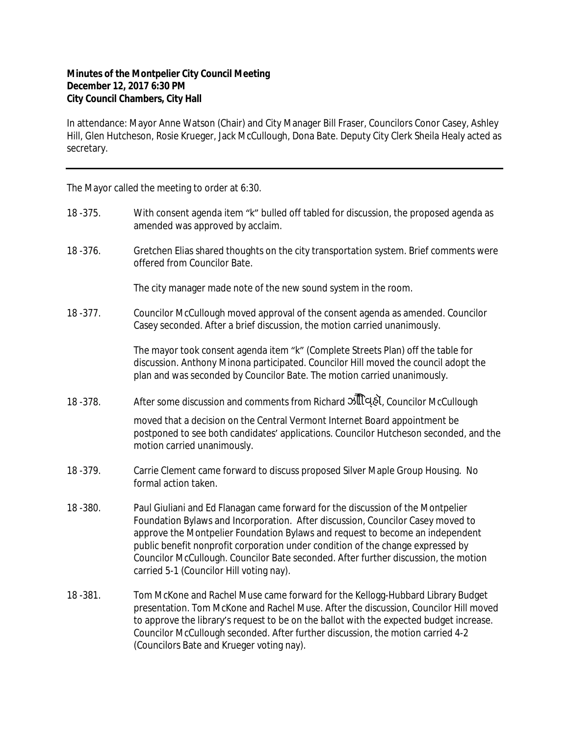## **Minutes of the Montpelier City Council Meeting December 12, 2017 6:30 PM City Council Chambers, City Hall**

In attendance: Mayor Anne Watson (Chair) and City Manager Bill Fraser, Councilors Conor Casey, Ashley Hill, Glen Hutcheson, Rosie Krueger, Jack McCullough, Dona Bate. Deputy City Clerk Sheila Healy acted as secretary.

The Mayor called the meeting to order at 6:30.

- 18 -375. With consent agenda item "k" bulled off tabled for discussion, the proposed agenda as amended was approved by acclaim.
- 18 -376. Gretchen Elias shared thoughts on the city transportation system. Brief comments were offered from Councilor Bate.

The city manager made note of the new sound system in the room.

18 -377. Councilor McCullough moved approval of the consent agenda as amended. Councilor Casey seconded. After a brief discussion, the motion carried unanimously.

> The mayor took consent agenda item "k" (Complete Streets Plan) off the table for discussion. Anthony Minona participated. Councilor Hill moved the council adopt the plan and was seconded by Councilor Bate. The motion carried unanimously.

18 -378. After some discussion and comments from Richard ॐ अप्टिट्डो, Councilor McCullough

moved that a decision on the Central Vermont Internet Board appointment be postponed to see both candidates' applications. Councilor Hutcheson seconded, and the motion carried unanimously.

- 18 -379. Carrie Clement came forward to discuss proposed Silver Maple Group Housing. No formal action taken.
- 18 -380. Paul Giuliani and Ed Flanagan came forward for the discussion of the Montpelier Foundation Bylaws and Incorporation. After discussion, Councilor Casey moved to approve the Montpelier Foundation Bylaws and request to become an independent public benefit nonprofit corporation under condition of the change expressed by Councilor McCullough. Councilor Bate seconded. After further discussion, the motion carried 5-1 (Councilor Hill voting nay).
- 18 -381. Tom McKone and Rachel Muse came forward for the Kellogg-Hubbard Library Budget presentation. Tom McKone and Rachel Muse. After the discussion, Councilor Hill moved to approve the library's request to be on the ballot with the expected budget increase. Councilor McCullough seconded. After further discussion, the motion carried 4-2 (Councilors Bate and Krueger voting nay).